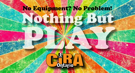# Nothing But No Equipment? No Problem!

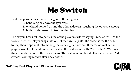### Me Switch

First, the players must master the game's three signals:

- 1. hands angled above the eyebrows;
- 2. one hand pointed up and the other sideways, touching the opposite elbow;
- 3. both hands crossed in front of the chest.

The players break off into pairs. One of the players starts by saying, "Me, switch!" At the word switch, the player snaps into one of the three signals. The object is for the caller to trap their opponent into making the same signal they did. If there's no match, the players switch roles and immediately start the next round with "Me, switch!" Winning three rounds by one of the players wins. The best game is played ultrafast with each "Me switch!" coming rapidly after one another.

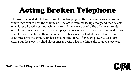## Acting Broken Telephone

The group is divided into two teams of four-five players. The first team leaves the room where they cannot hear the other team. The other team makes up a story and then selects one player who will act it out while the rest of the players watch. The other team sends one player in who watches the selected player who acts out the story. Then a second player is sent in and watches as their teammate then tries to act out what they just saw. This continues until the entire team has acted out the story. After every player takes a turn acting out the story, the final player tries to recite what she thinks the original story was.

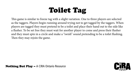## Toilet Tag

This game is similar to freeze tag with a slight variation. One to three players are selected as the taggers. Players begin running around trying not to get tagged by the taggers. When players are tagged they must pretend to be a toilet and place their hand out to the side like a flusher. To be set free they must wait for another player to come and press their flusher and they must spin in a circle and make a "swish" sound pretending to be a toilet flushing. Then they may rejoin the game.